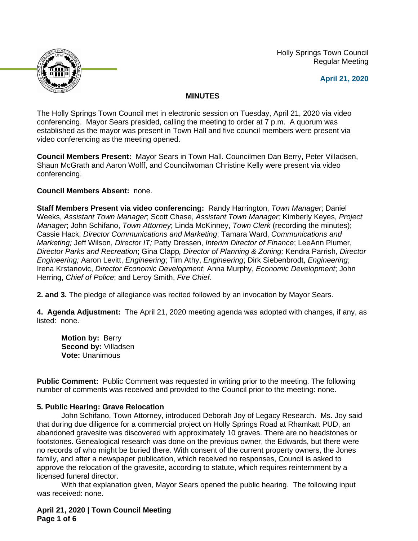Holly Springs Town Council Regular Meeting





# **MINUTES**

The Holly Springs Town Council met in electronic session on Tuesday, April 21, 2020 via video conferencing. Mayor Sears presided, calling the meeting to order at 7 p.m. A quorum was established as the mayor was present in Town Hall and five council members were present via video conferencing as the meeting opened.

**Council Members Present:** Mayor Sears in Town Hall. Councilmen Dan Berry, Peter Villadsen, Shaun McGrath and Aaron Wolff, and Councilwoman Christine Kelly were present via video conferencing.

## **Council Members Absent:** none.

**Staff Members Present via video conferencing:** Randy Harrington, *Town Manager*; Daniel Weeks, *Assistant Town Manager*; Scott Chase, *Assistant Town Manager;* Kimberly Keyes, *Project Manager*; John Schifano, *Town Attorney*; Linda McKinney, *Town Clerk* (recording the minutes); Cassie Hack, *Director Communications and Marketing*; Tamara Ward, *Communications and Marketing;* Jeff Wilson, *Director IT;* Patty Dressen, *Interim Director of Finance*; LeeAnn Plumer, *Director Parks and Recreation*; Gina Clapp*, Director of Planning & Zoning;* Kendra Parrish, *Director Engineering;* Aaron Levitt, *Engineering*; Tim Athy, *Engineering*; Dirk Siebenbrodt, *Engineering*; Irena Krstanovic, *Director Economic Development*; Anna Murphy, *Economic Development*; John Herring, *Chief of Police*; and Leroy Smith, *Fire Chief.*

**2. and 3.** The pledge of allegiance was recited followed by an invocation by Mayor Sears.

**4. Agenda Adjustment:** The April 21, 2020 meeting agenda was adopted with changes, if any, as listed: none.

**Motion by:** Berry **Second by:** Villadsen **Vote:** Unanimous

**Public Comment:** Public Comment was requested in writing prior to the meeting. The following number of comments was received and provided to the Council prior to the meeting: none.

## **5. Public Hearing: Grave Relocation**

John Schifano, Town Attorney, introduced Deborah Joy of Legacy Research. Ms. Joy said that during due diligence for a commercial project on Holly Springs Road at Rhamkatt PUD, an abandoned gravesite was discovered with approximately 10 graves. There are no headstones or footstones. Genealogical research was done on the previous owner, the Edwards, but there were no records of who might be buried there. With consent of the current property owners, the Jones family, and after a newspaper publication, which received no responses, Council is asked to approve the relocation of the gravesite, according to statute, which requires reinternment by a licensed funeral director.

With that explanation given, Mayor Sears opened the public hearing. The following input was received: none.

**April 21, 2020 | Town Council Meeting Page 1 of 6**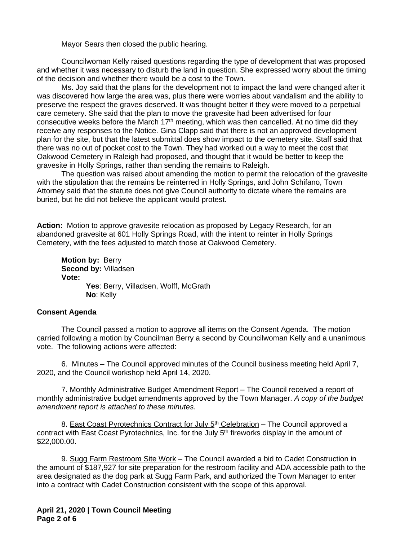Mayor Sears then closed the public hearing.

Councilwoman Kelly raised questions regarding the type of development that was proposed and whether it was necessary to disturb the land in question. She expressed worry about the timing of the decision and whether there would be a cost to the Town.

Ms. Joy said that the plans for the development not to impact the land were changed after it was discovered how large the area was, plus there were worries about vandalism and the ability to preserve the respect the graves deserved. It was thought better if they were moved to a perpetual care cemetery. She said that the plan to move the gravesite had been advertised for four consecutive weeks before the March 17<sup>th</sup> meeting, which was then cancelled. At no time did they receive any responses to the Notice. Gina Clapp said that there is not an approved development plan for the site, but that the latest submittal does show impact to the cemetery site. Staff said that there was no out of pocket cost to the Town. They had worked out a way to meet the cost that Oakwood Cemetery in Raleigh had proposed, and thought that it would be better to keep the gravesite in Holly Springs, rather than sending the remains to Raleigh.

The question was raised about amending the motion to permit the relocation of the gravesite with the stipulation that the remains be reinterred in Holly Springs, and John Schifano, Town Attorney said that the statute does not give Council authority to dictate where the remains are buried, but he did not believe the applicant would protest.

**Action:** Motion to approve gravesite relocation as proposed by Legacy Research, for an abandoned gravesite at 601 Holly Springs Road, with the intent to reinter in Holly Springs Cemetery, with the fees adjusted to match those at Oakwood Cemetery.

**Motion by:** Berry **Second by:** Villadsen **Vote:** Yes: Berry, Villadsen, Wolff, McGrath **No**: Kelly

## **Consent Agenda**

The Council passed a motion to approve all items on the Consent Agenda. The motion carried following a motion by Councilman Berry a second by Councilwoman Kelly and a unanimous vote. The following actions were affected:

6. Minutes – The Council approved minutes of the Council business meeting held April 7, 2020, and the Council workshop held April 14, 2020.

7. Monthly Administrative Budget Amendment Report – The Council received a report of monthly administrative budget amendments approved by the Town Manager. *A copy of the budget amendment report is attached to these minutes.*

8. East Coast Pyrotechnics Contract for July 5<sup>th</sup> Celebration – The Council approved a contract with East Coast Pyrotechnics, Inc. for the July 5<sup>th</sup> fireworks display in the amount of \$22,000.00.

9. Sugg Farm Restroom Site Work – The Council awarded a bid to Cadet Construction in the amount of \$187,927 for site preparation for the restroom facility and ADA accessible path to the area designated as the dog park at Sugg Farm Park, and authorized the Town Manager to enter into a contract with Cadet Construction consistent with the scope of this approval.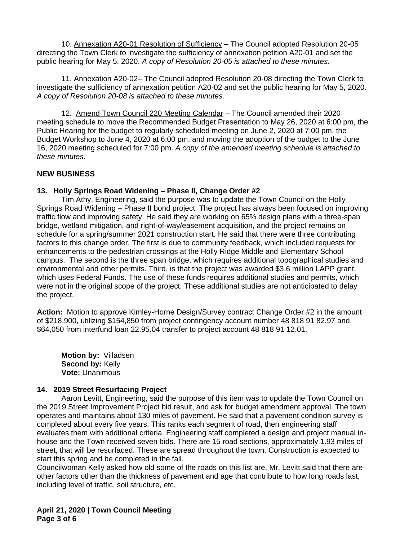10. Annexation A20-01 Resolution of Sufficiency – The Council adopted Resolution 20-05 directing the Town Clerk to investigate the sufficiency of annexation petition A20-01 and set the public hearing for May 5, 2020. *A copy of Resolution 20-05 is attached to these minutes.*

11. Annexation A20-02– The Council adopted Resolution 20-08 directing the Town Clerk to investigate the sufficiency of annexation petition A20-02 and set the public hearing for May 5, 2020. *A copy of Resolution 20-08 is attached to these minutes.*

12. Amend Town Council 220 Meeting Calendar – The Council amended their 2020 meeting schedule to move the Recommended Budget Presentation to May 26, 2020 at 6:00 pm, the Public Hearing for the budget to regularly scheduled meeting on June 2, 2020 at 7:00 pm, the Budget Workshop to June 4, 2020 at 6:00 pm, and moving the adoption of the budget to the June 16, 2020 meeting scheduled for 7:00 pm. *A copy of the amended meeting schedule is attached to these minutes.*

## **NEW BUSINESS**

# **13. Holly Springs Road Widening – Phase II, Change Order #2**

Tim Athy, Engineering, said the purpose was to update the Town Council on the Holly Springs Road Widening – Phase II bond project. The project has always been focused on improving traffic flow and improving safety. He said they are working on 65% design plans with a three-span bridge, wetland mitigation, and right-of-way/easement acquisition, and the project remains on schedule for a spring/summer 2021 construction start. He said that there were three contributing factors to this change order. The first is due to community feedback, which included requests for enhancements to the pedestrian crossings at the Holly Ridge Middle and Elementary School campus. The second is the three span bridge, which requires additional topographical studies and environmental and other permits. Third, is that the project was awarded \$3.6 million LAPP grant, which uses Federal Funds. The use of these funds requires additional studies and permits, which were not in the original scope of the project. These additional studies are not anticipated to delay the project.

**Action:** Motion to approve Kimley-Horne Design/Survey contract Change Order #2 in the amount of \$218,900, utilizing \$154,850 from project contingency account number 48 818 91 82.97 and \$64,050 from interfund loan 22.95.04 transfer to project account 48 818 91 12.01.

**Motion by:** Villadsen **Second by: Kelly Vote:** Unanimous

## **14. 2019 Street Resurfacing Project**

Aaron Levitt, Engineering, said the purpose of this item was to update the Town Council on the 2019 Street Improvement Project bid result, and ask for budget amendment approval. The town operates and maintains about 130 miles of pavement. He said that a pavement condition survey is completed about every five years. This ranks each segment of road, then engineering staff evaluates them with additional criteria. Engineering staff completed a design and project manual inhouse and the Town received seven bids. There are 15 road sections, approximately 1.93 miles of street, that will be resurfaced. These are spread throughout the town. Construction is expected to start this spring and be completed in the fall.

Councilwoman Kelly asked how old some of the roads on this list are. Mr. Levitt said that there are other factors other than the thickness of pavement and age that contribute to how long roads last, including level of traffic, soil structure, etc.

**April 21, 2020 | Town Council Meeting Page 3 of 6**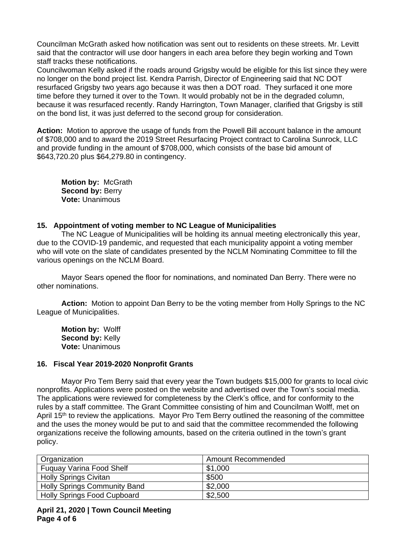Councilman McGrath asked how notification was sent out to residents on these streets. Mr. Levitt said that the contractor will use door hangers in each area before they begin working and Town staff tracks these notifications.

Councilwoman Kelly asked if the roads around Grigsby would be eligible for this list since they were no longer on the bond project list. Kendra Parrish, Director of Engineering said that NC DOT resurfaced Grigsby two years ago because it was then a DOT road. They surfaced it one more time before they turned it over to the Town. It would probably not be in the degraded column, because it was resurfaced recently. Randy Harrington, Town Manager, clarified that Grigsby is still on the bond list, it was just deferred to the second group for consideration.

**Action:** Motion to approve the usage of funds from the Powell Bill account balance in the amount of \$708,000 and to award the 2019 Street Resurfacing Project contract to Carolina Sunrock, LLC and provide funding in the amount of \$708,000, which consists of the base bid amount of \$643,720.20 plus \$64,279.80 in contingency.

**Motion by:** McGrath **Second by: Berry Vote:** Unanimous

## **15. Appointment of voting member to NC League of Municipalities**

The NC League of Municipalities will be holding its annual meeting electronically this year, due to the COVID-19 pandemic, and requested that each municipality appoint a voting member who will vote on the slate of candidates presented by the NCLM Nominating Committee to fill the various openings on the NCLM Board.

Mayor Sears opened the floor for nominations, and nominated Dan Berry. There were no other nominations.

**Action:** Motion to appoint Dan Berry to be the voting member from Holly Springs to the NC League of Municipalities.

**Motion by:** Wolff **Second by:** Kelly **Vote:** Unanimous

## **16. Fiscal Year 2019-2020 Nonprofit Grants**

Mayor Pro Tem Berry said that every year the Town budgets \$15,000 for grants to local civic nonprofits. Applications were posted on the website and advertised over the Town's social media. The applications were reviewed for completeness by the Clerk's office, and for conformity to the rules by a staff committee. The Grant Committee consisting of him and Councilman Wolff, met on April 15<sup>th</sup> to review the applications. Mayor Pro Tem Berry outlined the reasoning of the committee and the uses the money would be put to and said that the committee recommended the following organizations receive the following amounts, based on the criteria outlined in the town's grant policy.

| Organization                        | Amount Recommended |
|-------------------------------------|--------------------|
| <b>Fuguay Varina Food Shelf</b>     | \$1,000            |
| <b>Holly Springs Civitan</b>        | \$500              |
| <b>Holly Springs Community Band</b> | \$2,000            |
| <b>Holly Springs Food Cupboard</b>  | \$2,500            |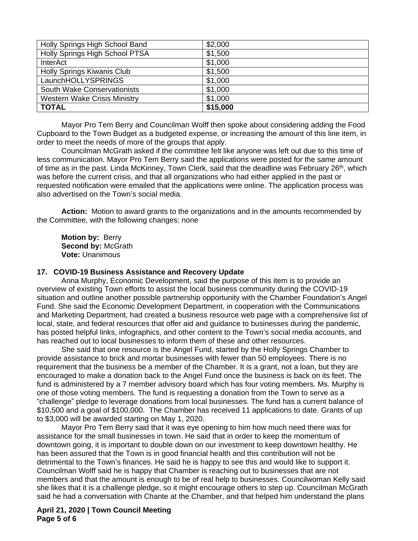| Holly Springs High School Band      | \$2,000  |
|-------------------------------------|----------|
| Holly Springs High School PTSA      | \$1,500  |
| <b>InterAct</b>                     | \$1,000  |
| Holly Springs Kiwanis Club          | \$1,500  |
| LaunchHOLLYSPRINGS                  | \$1,000  |
| South Wake Conservationists         | \$1,000  |
| <b>Western Wake Crisis Ministry</b> | \$1,000  |
| <b>TOTAL</b>                        | \$15,000 |

Mayor Pro Tem Berry and Councilman Wolff then spoke about considering adding the Food Cupboard to the Town Budget as a budgeted expense, or increasing the amount of this line item, in order to meet the needs of more of the groups that apply.

Councilman McGrath asked if the committee felt like anyone was left out due to this time of less communication. Mayor Pro Tem Berry said the applications were posted for the same amount of time as in the past. Linda McKinney, Town Clerk, said that the deadline was February 26<sup>th</sup>, which was before the current crisis, and that all organizations who had either applied in the past or requested notification were emailed that the applications were online. The application process was also advertised on the Town's social media.

**Action:** Motion to award grants to the organizations and in the amounts recommended by the Committee, with the following changes: none

**Motion by:** Berry **Second by: McGrath Vote:** Unanimous

## **17. COVID-19 Business Assistance and Recovery Update**

Anna Murphy, Economic Development, said the purpose of this item is to provide an overview of existing Town efforts to assist the local business community during the COVID-19 situation and outline another possible partnership opportunity with the Chamber Foundation's Angel Fund. She said the Economic Development Department, in cooperation with the Communications and Marketing Department, had created a business resource web page with a comprehensive list of local, state, and federal resources that offer aid and guidance to businesses during the pandemic, has posted helpful links, infographics, and other content to the Town's social media accounts, and has reached out to local businesses to inform them of these and other resources.

She said that one resource is the Angel Fund, started by the Holly Springs Chamber to provide assistance to brick and mortar businesses with fewer than 50 employees. There is no requirement that the business be a member of the Chamber. It is a grant, not a loan, but they are encouraged to make a donation back to the Angel Fund once the business is back on its feet. The fund is administered by a 7 member advisory board which has four voting members. Ms. Murphy is one of those voting members. The fund is requesting a donation from the Town to serve as a "challenge" pledge to leverage donations from local businesses. The fund has a current balance of \$10,500 and a goal of \$100,000. The Chamber has received 11 applications to date. Grants of up to \$3,000 will be awarded starting on May 1, 2020.

Mayor Pro Tem Berry said that it was eye opening to him how much need there was for assistance for the small businesses in town. He said that in order to keep the momentum of downtown going, it is important to double down on our investment to keep downtown healthy. He has been assured that the Town is in good financial health and this contribution will not be detrimental to the Town's finances. He said he is happy to see this and would like to support it. Councilman Wolff said he is happy that Chamber is reaching out to businesses that are not members and that the amount is enough to be of real help to businesses. Councilwoman Kelly said she likes that it is a challenge pledge, so it might encourage others to step up. Councilman McGrath said he had a conversation with Chante at the Chamber, and that helped him understand the plans

**April 21, 2020 | Town Council Meeting Page 5 of 6**